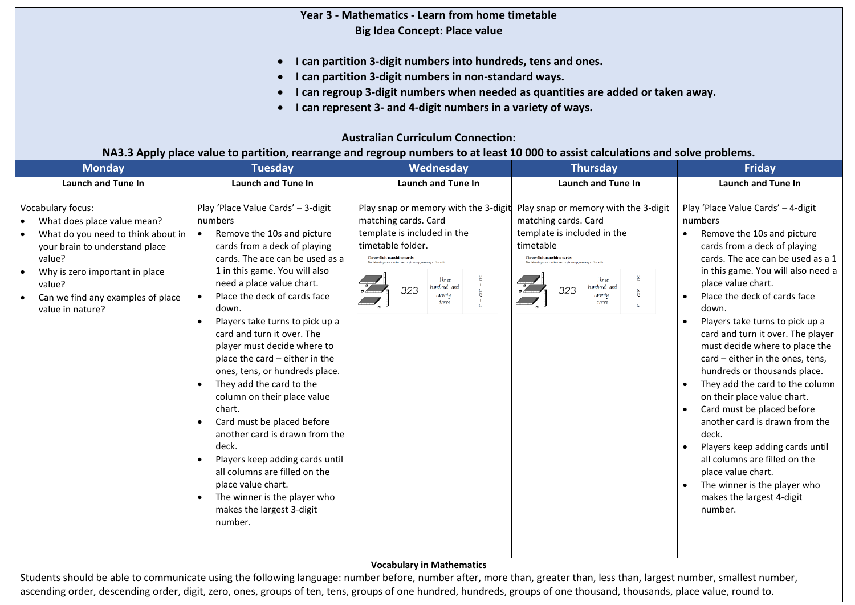### **Year 3 - Mathematics - Learn from home timetable**

**Big Idea Concept: Place value** 

- **I can partition 3-digit numbers into hundreds, tens and ones.**
- **I can partition 3-digit numbers in non-standard ways.**
- **I can regroup 3-digit numbers when needed as quantities are added or taken away.**
- **I can represent 3- and 4-digit numbers in a variety of ways.**

# **Australian Curriculum Connection:**

# **NA3.3 Apply place value to partition, rearrange and regroup numbers to at least 10 000 to assist calculations and solve problems.**

| <b>Monday</b>                                                                                                                                                                                                                                  | <b>Tuesday</b>                                                                                                                                                                                                                                                                                                                                                                                                                                                                                                                                                                                                                                                                                                                                                                                                                       | Wednesday                                                                                                                                                                                                                                                                                               | <b>Thursday</b>                                                                                                                                                                                                                                                 | <b>Friday</b>                                                                                                                                                                                                                                                                                                                                                                                                                                                                                                                                                                                                                                                                                                                                                                                                                               |  |  |  |
|------------------------------------------------------------------------------------------------------------------------------------------------------------------------------------------------------------------------------------------------|--------------------------------------------------------------------------------------------------------------------------------------------------------------------------------------------------------------------------------------------------------------------------------------------------------------------------------------------------------------------------------------------------------------------------------------------------------------------------------------------------------------------------------------------------------------------------------------------------------------------------------------------------------------------------------------------------------------------------------------------------------------------------------------------------------------------------------------|---------------------------------------------------------------------------------------------------------------------------------------------------------------------------------------------------------------------------------------------------------------------------------------------------------|-----------------------------------------------------------------------------------------------------------------------------------------------------------------------------------------------------------------------------------------------------------------|---------------------------------------------------------------------------------------------------------------------------------------------------------------------------------------------------------------------------------------------------------------------------------------------------------------------------------------------------------------------------------------------------------------------------------------------------------------------------------------------------------------------------------------------------------------------------------------------------------------------------------------------------------------------------------------------------------------------------------------------------------------------------------------------------------------------------------------------|--|--|--|
| <b>Launch and Tune In</b>                                                                                                                                                                                                                      | <b>Launch and Tune In</b>                                                                                                                                                                                                                                                                                                                                                                                                                                                                                                                                                                                                                                                                                                                                                                                                            | <b>Launch and Tune In</b>                                                                                                                                                                                                                                                                               | <b>Launch and Tune In</b>                                                                                                                                                                                                                                       | <b>Launch and Tune In</b>                                                                                                                                                                                                                                                                                                                                                                                                                                                                                                                                                                                                                                                                                                                                                                                                                   |  |  |  |
| <b>Vocabulary focus:</b><br>What does place value mean?<br>What do you need to think about in<br>your brain to understand place<br>value?<br>Why is zero important in place<br>value?<br>Can we find any examples of place<br>value in nature? | Play 'Place Value Cards' - 3-digit<br>numbers<br>Remove the 10s and picture<br>$\bullet$<br>cards from a deck of playing<br>cards. The ace can be used as a<br>1 in this game. You will also<br>need a place value chart.<br>Place the deck of cards face<br>$\bullet$<br>down.<br>Players take turns to pick up a<br>$\bullet$<br>card and turn it over. The<br>player must decide where to<br>place the card – either in the<br>ones, tens, or hundreds place.<br>They add the card to the<br>$\bullet$<br>column on their place value<br>chart.<br>Card must be placed before<br>$\bullet$<br>another card is drawn from the<br>deck.<br>Players keep adding cards until<br>$\bullet$<br>all columns are filled on the<br>place value chart.<br>The winner is the player who<br>$\bullet$<br>makes the largest 3-digit<br>number. | Play snap or memory with the 3-digit<br>matching cards. Card<br>template is included in the<br>timetable folder.<br>Three-digit matching cards:<br>The following cards can be used to play snap<br>Three<br>hundred and<br>323<br>$\frac{8}{2}$<br>twenty-<br>three<br><b>Vocabulary in Mathematics</b> | Play snap or memory with the 3-digit<br>matching cards. Card<br>template is included in the<br>timetable<br>Three-digit matching cards:<br>The following cards can be used to play snap, memory or fish with<br>Three<br>hundred and<br>323<br>twentu-<br>three | Play 'Place Value Cards' - 4-digit<br>numbers<br>Remove the 10s and picture<br>$\bullet$<br>cards from a deck of playing<br>cards. The ace can be used as a 1<br>in this game. You will also need a<br>place value chart.<br>Place the deck of cards face<br>$\bullet$<br>down.<br>Players take turns to pick up a<br>$\bullet$<br>card and turn it over. The player<br>must decide where to place the<br>card - either in the ones, tens,<br>hundreds or thousands place.<br>They add the card to the column<br>$\bullet$<br>on their place value chart.<br>Card must be placed before<br>$\bullet$<br>another card is drawn from the<br>deck.<br>Players keep adding cards until<br>$\bullet$<br>all columns are filled on the<br>place value chart.<br>The winner is the player who<br>$\bullet$<br>makes the largest 4-digit<br>number. |  |  |  |
|                                                                                                                                                                                                                                                |                                                                                                                                                                                                                                                                                                                                                                                                                                                                                                                                                                                                                                                                                                                                                                                                                                      |                                                                                                                                                                                                                                                                                                         |                                                                                                                                                                                                                                                                 |                                                                                                                                                                                                                                                                                                                                                                                                                                                                                                                                                                                                                                                                                                                                                                                                                                             |  |  |  |

Students should be able to communicate using the following language: number before, number after, more than, greater than, less than, largest number, smallest number, ascending order, descending order, digit, zero, ones, groups of ten, tens, groups of one hundreds, proups of one thousand, thousands, place value, round to.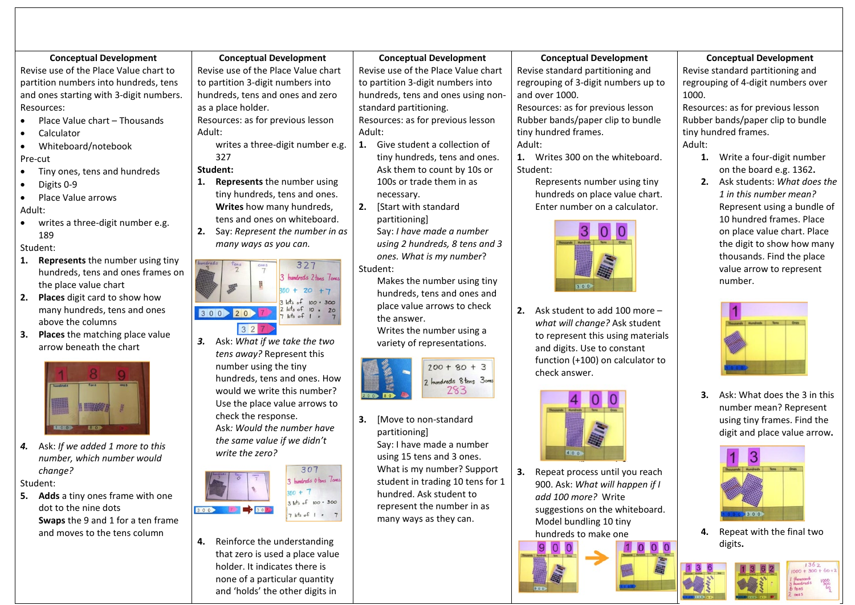#### **Conceptual Development**

Revise use of the Place Value chart to partition numbers into hundreds, tens and ones starting with 3-digit numbers. Resources:

- Place Value chart Thousands
- Calculator
- Whiteboard/notebook

### Pre-cut

- Tiny ones, tens and hundreds
- Digits 0-9

• Place Value arrows Adult:

• writes a three-digit number e.g. 189

Student:

- **1. Represents** the number using tiny hundreds, tens and ones frames on the place value chart
- **2. Places** digit card to show how many hundreds, tens and ones above the columns
- **3. Places** the matching place value arrow beneath the chart



*4.* Ask: *If we added 1 more to this number, which number would change?* 

Student:

**5. Adds** a tiny ones frame with one dot to the nine dots **Swaps** the 9 and 1 for a ten frame and moves to the tens column

**Conceptual Development** Revise use of the Place Value chart to partition 3-digit numbers into hundreds, tens and ones and zero as a place holder.

Resources: as for previous lesson Adult:

writes a three-digit number e.g. 327

## **Student:**

- **1. Represents** the number using tiny hundreds, tens and ones. **Writes** how many hundreds,
- tens and ones on whiteboard. **2.** Say: *Represent the number in as*



*3.* Ask: *What if we take the two tens away?* Represent this number using the tiny hundreds, tens and ones. How would we write this number? Use the place value arrows to check the response. Ask*: Would the number have* 

*the same value if we didn't write the zero?* 



**4.** Reinforce the understanding that zero is used a place value holder. It indicates there is none of a particular quantity and 'holds' the other digits in

**Conceptual Development**

Revise use of the Place Value chart to partition 3-digit numbers into hundreds, tens and ones using nonstandard partitioning. Resources: as for previous lesson Adult:

- **1.** Give student a collection of tiny hundreds, tens and ones. Ask them to count by 10s or 100s or trade them in as necessary.
- **2.** [Start with standard partitioning] Say: *I have made a number*

*using 2 hundreds, 8 tens and 3 ones. What is my number*? Student:

Makes the number using tiny hundreds, tens and ones and place value arrows to check the answer.

Writes the number using a variety of representations.



**3.** [Move to non-standard partitioning] Say: I have made a number using 15 tens and 3 ones. What is my number? Support student in trading 10 tens for 1 hundred. Ask student to represent the number in as many ways as they can.

## **Conceptual Development**

Revise standard partitioning and regrouping of 3-digit numbers up to and over 1000.

Resources: as for previous lesson Rubber bands/paper clip to bundle tiny hundred frames. Adult:

**1.** Writes 300 on the whiteboard. Student:

Represents number using tiny hundreds on place value chart. Enter number on a calculator.



**2.** Ask student to add 100 more – *what will change?* Ask student to represent this using materials and digits. Use to constant function (+100) on calculator to check answer.



**3.** Repeat process until you reach 900. Ask: *What will happen if I add 100 more?* Write suggestions on the whiteboard. Model bundling 10 tiny hundreds to make one

#### **Conceptual Development**

Revise standard partitioning and regrouping of 4-digit numbers over 1000.

Resources: as for previous lesson Rubber bands/paper clip to bundle tiny hundred frames. Adult:

- **1.** Write a four-digit number on the board e.g. 1362**.**
- **2.** Ask students: *What does the 1 in this number mean?* Represent using a bundle of 10 hundred frames. Place on place value chart. Place the digit to show how many thousands. Find the place value arrow to represent number.



**3.** Ask: What does the 3 in this number mean? Represent using tiny frames. Find the digit and place value arrow**.** 



**4.** Repeat with the final two digits**.**

> $1362$  $1000 + 300 + 60 + 3$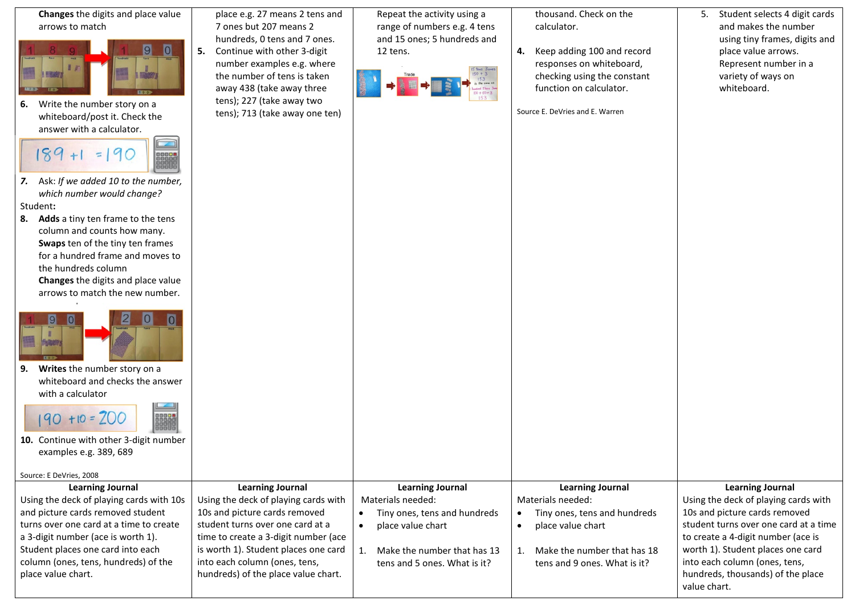| Changes the digits and place value<br>arrows to match<br>$\overline{0}$<br>Write the number story on a<br>6.<br>whiteboard/post it. Check the<br>answer with a calculator.<br>C<br>$=$<br>7. Ask: If we added 10 to the number,<br>which number would change?<br>Student:<br>Adds a tiny ten frame to the tens<br>8.<br>column and counts how many.<br>Swaps ten of the tiny ten frames<br>for a hundred frame and moves to<br>the hundreds column<br>Changes the digits and place value<br>arrows to match the new number.<br>9.<br>Writes the number story on a<br>whiteboard and checks the answer<br>with a calculator<br>$190 + 10 = 200$<br>10. Continue with other 3-digit number<br>examples e.g. 389, 689 | place e.g. 27 means 2 tens and<br>7 ones but 207 means 2<br>hundreds, 0 tens and 7 ones.<br>Continue with other 3-digit<br>5.<br>number examples e.g. where<br>the number of tens is taken<br>away 438 (take away three<br>tens); 227 (take away two<br>tens); 713 (take away one ten)       | Repeat the activity using a<br>range of numbers e.g. 4 tens<br>and 15 ones; 5 hundreds and<br>12 tens.                                                                                           | thousand. Check on the<br>calculator.<br>Keep adding 100 and record<br>4.<br>responses on whiteboard,<br>checking using the constant<br>function on calculator.<br>Source E. DeVries and E. Warren | Student selects 4 digit cards<br>5.<br>and makes the number<br>using tiny frames, digits and<br>place value arrows.<br>Represent number in a<br>variety of ways on<br>whiteboard.                                                                                                                          |
|--------------------------------------------------------------------------------------------------------------------------------------------------------------------------------------------------------------------------------------------------------------------------------------------------------------------------------------------------------------------------------------------------------------------------------------------------------------------------------------------------------------------------------------------------------------------------------------------------------------------------------------------------------------------------------------------------------------------|----------------------------------------------------------------------------------------------------------------------------------------------------------------------------------------------------------------------------------------------------------------------------------------------|--------------------------------------------------------------------------------------------------------------------------------------------------------------------------------------------------|----------------------------------------------------------------------------------------------------------------------------------------------------------------------------------------------------|------------------------------------------------------------------------------------------------------------------------------------------------------------------------------------------------------------------------------------------------------------------------------------------------------------|
| Source: E DeVries, 2008                                                                                                                                                                                                                                                                                                                                                                                                                                                                                                                                                                                                                                                                                            |                                                                                                                                                                                                                                                                                              |                                                                                                                                                                                                  |                                                                                                                                                                                                    |                                                                                                                                                                                                                                                                                                            |
| <b>Learning Journal</b><br>Using the deck of playing cards with 10s<br>and picture cards removed student<br>turns over one card at a time to create<br>a 3-digit number (ace is worth 1).<br>Student places one card into each<br>column (ones, tens, hundreds) of the<br>place value chart.                                                                                                                                                                                                                                                                                                                                                                                                                       | <b>Learning Journal</b><br>Using the deck of playing cards with<br>10s and picture cards removed<br>student turns over one card at a<br>time to create a 3-digit number (ace<br>is worth 1). Student places one card<br>into each column (ones, tens,<br>hundreds) of the place value chart. | <b>Learning Journal</b><br>Materials needed:<br>Tiny ones, tens and hundreds<br>$\bullet$<br>place value chart<br>$\bullet$<br>Make the number that has 13<br>1.<br>tens and 5 ones. What is it? | <b>Learning Journal</b><br>Materials needed:<br>Tiny ones, tens and hundreds<br>$\bullet$<br>place value chart<br>$\bullet$<br>Make the number that has 18<br>1.<br>tens and 9 ones. What is it?   | <b>Learning Journal</b><br>Using the deck of playing cards with<br>10s and picture cards removed<br>student turns over one card at a time<br>to create a 4-digit number (ace is<br>worth 1). Student places one card<br>into each column (ones, tens,<br>hundreds, thousands) of the place<br>value chart. |